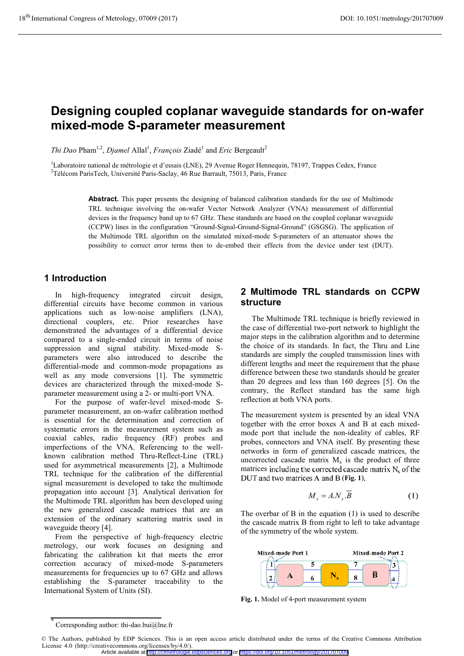# **Designing coupled coplanar waveguide standards for on-wafer mixed-mode S-parameter measurement**

*Thi Dao* Pham<sup>1,2</sup>, *Djamel* Allal<sup>1</sup>, *François* Ziadé<sup>1</sup> and *Eric* Bergeault<sup>2</sup>

<sup>1</sup>Laboratoire national de métrologie et d'essais (LNE), 29 Avenue Roger Hennequin, 78197, Trappes Cedex, France<br><sup>2</sup>Télécom PerisTech Université Peris Saclay 46 Pue Berrault, 75013, Peris, France <sup>2</sup>Télécom ParisTech, Université Paris-Saclay, 46 Rue Barrault, 75013, Paris, France

> **Abstract.** This paper presents the designing of balanced calibration standards for the use of Multimode TRL technique involving the on-wafer Vector Network Analyzer (VNA) measurement of differential devices in the frequency band up to 67 GHz. These standards are based on the coupled coplanar waveguide (CCPW) lines in the configuration "Ground-Signal-Ground-Signal-Ground" (GSGSG). The application of the Multimode TRL algorithm on the simulated mixed-mode S-parameters of an attenuator shows the possibility to correct error terms then to de-embed their effects from the device under test (DUT).

# **1 Introduction**

In high-frequency integrated circuit design, differential circuits have become common in various applications such as low-noise amplifiers (LNA), directional couplers, etc. Prior researches have demonstrated the advantages of a differential device compared to a single-ended circuit in terms of noise suppression and signal stability. Mixed-mode Sparameters were also introduced to describe the differential-mode and common-mode propagations as well as any mode conversions [1]. The symmetric devices are characterized through the mixed-mode Sparameter measurement using a 2- or multi-port VNA.

For the purpose of wafer-level mixed-mode Sparameter measurement, an on-wafer calibration method is essential for the determination and correction of systematic errors in the measurement system such as coaxial cables, radio frequency (RF) probes and imperfections of the VNA. Referencing to the wellknown calibration method Thru-Reflect-Line (TRL) used for asymmetrical measurements [2], a Multimode TRL technique for the calibration of the differential signal measurement is developed to take the multimode propagation into account [3]. Analytical derivation for the Multimode TRL algorithm has been developed using the new generalized cascade matrices that are an extension of the ordinary scattering matrix used in waveguide theory [4].

From the perspective of high-frequency electric metrology, our work focuses on designing and fabricating the calibration kit that meets the error correction accuracy of mixed-mode S-parameters measurements for frequencies up to 67 GHz and allows establishing the S-parameter traceability to the International System of Units (SI).

# **2 Multimode TRL standards on CCPW structure**

The Multimode TRL technique is briefly reviewed in the case of differential two-port network to highlight the major steps in the calibration algorithm and to determine the choice of its standards. In fact, the Thru and Line standards are simply the coupled transmission lines with different lengths and meet the requirement that the phase difference between these two standards should be greater than 20 degrees and less than 160 degrees [5]. On the contrary, the Reflect standard has the same high reflection at both VNA ports.

The measurement system is presented by an ideal VNA together with the error boxes A and B at each mixedmode port that include the non-ideality of cables, RF probes, connectors and VNA itself. By presenting these networks in form of generalized cascade matrices, the uncorrected cascade matrix  $M<sub>x</sub>$  is the product of three matrices including the corrected cascade matrix  $N_x$  of the DUT and two matrices A and B (Fig. 1).

$$
M_x = A.N_x.\overline{B} \tag{1}
$$

The overbar of B in the equation (1) is used to describe the cascade matrix B from right to left to take advantage of the symmetry of the whole system.



**Fig. 1.** Model of 4-port measurement system

<sup>\*</sup> Corresponding author: thi-dao.bui@lne.fr

<sup>©</sup> The Authors, published by EDP Sciences. This is an open access article distributed under the terms of the Creative Commons Attribution License 4.0 (http://creativecommons.org/licenses/by/4.0/).

Article available at <http://cfmetrologie.edpsciences.org> or <https://doi.org/10.1051/metrology/201707009>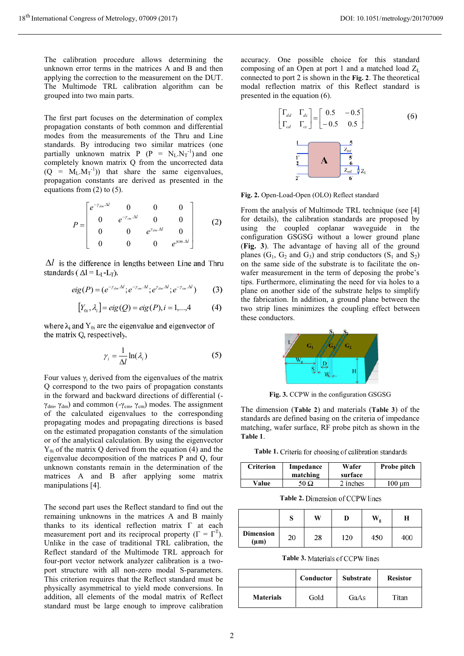The calibration procedure allows determining the unknown error terms in the matrices A and B and then applying the correction to the measurement on the DUT. The Multimode TRL calibration algorithm can be grouped into two main parts.

The first part focuses on the determination of complex propagation constants of both common and differential modes from the measurements of the Thru and Line standards. By introducing two similar matrices (one partially unknown matrix  $P(P = N_L.N_T^{-1})$  and one completely known matrix Q from the uncorrected data  $(Q = M_L.M_T^{-1})$  that share the same eigenvalues, propagation constants are derived as presented in the equations from  $(2)$  to  $(5)$ .

$$
P = \begin{bmatrix} e^{-\gamma_{dm} \cdot \Delta l} & 0 & 0 & 0 \\ 0 & e^{-\gamma_{cm} \cdot \Delta l} & 0 & 0 \\ 0 & 0 & e^{\gamma_{dm} \cdot \Delta l} & 0 \\ 0 & 0 & 0 & e^{\gamma_{cm} \cdot \Delta l} \end{bmatrix}
$$
 (2)

 $\Delta l$  is the difference in lengths between Line and Thru standards ( $\Delta l = L_I - L_T$ ).

$$
eig(P) = (e^{-\gamma_{dm}.\Delta t}; e^{-\gamma_{cm}.\Delta t}; e^{\gamma_{dm}.\Delta t}; e^{-\gamma_{cm}.\Delta t})
$$
(3)

$$
[Y_{0i}, \lambda_i] = eig(Q) = eig(P), i = 1,...,4
$$
 (4)

where  $\lambda_i$  and  $Y_{0i}$  are the eigenvalue and eigenvector of the matrix Q, respectively.

$$
\gamma_i = \frac{1}{\Delta l} \ln(\lambda_i) \tag{5}
$$

Four values  $\gamma_i$  derived from the eigenvalues of the matrix Q correspond to the two pairs of propagation constants in the forward and backward directions of differential (  $γ<sub>dm</sub>, γ<sub>dm</sub>$ ) and common (-γ<sub>cm</sub>, γ<sub>cm</sub>) modes. The assignment of the calculated eigenvalues to the corresponding propagating modes and propagating directions is based on the estimated propagation constants of the simulation or of the analytical calculation. By using the eigenvector  $Y_{0i}$  of the matrix Q derived from the equation (4) and the eigenvalue decomposition of the matrices P and Q, four unknown constants remain in the determination of the matrices A and B after applying some matrix manipulations [4].

The second part uses the Reflect standard to find out the remaining unknowns in the matrices A and B mainly thanks to its identical reflection matrix Г at each measurement port and its reciprocal property ( $\Gamma = \Gamma^{T}$ ). Unlike in the case of traditional TRL calibration, the Reflect standard of the Multimode TRL approach for four-port vector network analyzer calibration is a twoport structure with all non-zero modal S-parameters. This criterion requires that the Reflect standard must be physically asymmetrical to yield mode conversions. In addition, all elements of the modal matrix of Reflect standard must be large enough to improve calibration

accuracy. One possible choice for this standard composing of an Open at port 1 and a matched load  $Z_L$ connected to port 2 is shown in the **Fig. 2**. The theoretical modal reflection matrix of this Reflect standard is presented in the equation (6).



**Fig. 2.** Open-Load-Open (OLO) Reflect standard

From the analysis of Multimode TRL technique (see [4] for details), the calibration standards are proposed by using the coupled coplanar waveguide in the configuration GSGSG without a lower ground plane (**Fig. 3**). The advantage of having all of the ground planes ( $G_1$ ,  $G_2$  and  $G_3$ ) and strip conductors ( $S_1$  and  $S_2$ ) on the same side of the substrate is to facilitate the onwafer measurement in the term of deposing the probe's tips. Furthermore, eliminating the need for via holes to a plane on another side of the substrate helps to simplify the fabrication. In addition, a ground plane between the two strip lines minimizes the coupling effect between these conductors.



**Fig. 3.** CCPW in the configuration GSGSG

The dimension (**Table 2**) and materials (**Table 3**) of the standards are defined basing on the criteria of impedance matching, wafer surface, RF probe pitch as shown in the **Table 1**.

Table 1. Criteria for choosing of calibration standards

| <b>Criterion</b> | Impedance<br>matching | Wafer<br>surface | Probe pitch |
|------------------|-----------------------|------------------|-------------|
| Value            | 50 Ω                  | 2 inches         | 100 um      |

**Table 2.**

|                               | ິ<br>ø | W  | D   | $\mathbf{W}_{\mathbf{g}}$ | н   |
|-------------------------------|--------|----|-----|---------------------------|-----|
| <b>Dimension</b><br>$(\mu m)$ | 20     | 28 | 120 | 450                       | 400 |

**Table 3.**

|                  | Conductor | <b>Substrate</b> | <b>Resistor</b> |
|------------------|-----------|------------------|-----------------|
| <b>Materials</b> | Gold      | GaAs             | Titan           |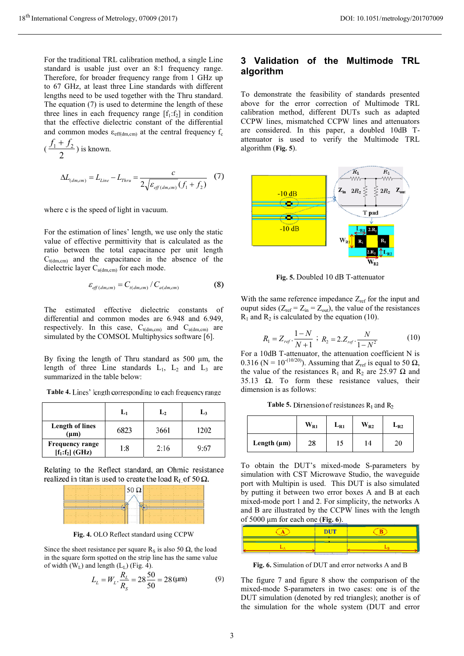For the traditional TRL calibration method, a single Line standard is usable just over an 8:1 frequency range. Therefore, for broader frequency range from 1 GHz up to 67 GHz, at least three Line standards with different lengths need to be used together with the Thru standard. The equation (7) is used to determine the length of these three lines in each frequency range  $[f_1: f_2]$  in condition that the effective dielectric constant of the differential and common modes  $\varepsilon_{\text{eff(dm,cm)}}$  at the central frequency  $f_c$ 

$$
(\frac{f_1 + f_2}{2})
$$
 is known.  

$$
\Delta L_{(dm, cm)} = L_{Line} - L_{Thru} = \frac{c}{2\sqrt{\varepsilon_{eff(dm, cm)}(f_1 + f_2)}}
$$
(7)

where c is the speed of light in vacuum.

For the estimation of lines' length, we use only the static value of effective permittivity that is calculated as the ratio between the total capacitance per unit length  $C_{t(dm,cm)}$  and the capacitance in the absence of the dielectric layer  $C_{a(dm, cm)}$  for each mode.

$$
\varepsilon_{\text{eff}(dm, cm)} = C_{t(dm, cm)} / C_{a(dm, cm)} \tag{8}
$$

The estimated effective dielectric constants of differential and common modes are 6.948 and 6.949, respectively. In this case,  $C_{t(dm, cm)}$  and  $C_{a(dm, cm)}$  are simulated by the COMSOL Multiphysics software [6].

By fixing the length of Thru standard as 500 μm, the length of three Line standards  $L_1$ ,  $L_2$  and  $L_3$  are summarized in the table below:

Table 4. Lines' length corresponding to each frequency range

|                                             | L <sub>1</sub> | L <sub>2</sub> | L3   |
|---------------------------------------------|----------------|----------------|------|
| <b>Length of lines</b><br>$(\mu m)$         | 6823           | 3661           | 1202 |
| <b>Frequency range</b><br>$[f_1:f_2]$ (GHz) | 1:8            | 2:16           | 9:67 |

Relating to the Reflect standard, an Ohmic resistance realized in titan is used to create the load  $R_{I}$  of 50  $\Omega$ .



**Fig. 4.** OLO Reflect standard using CCPW

Since the sheet resistance per square R<sub>S</sub> is also 50  $\Omega$ , the load in the square form spotted on the strip line has the same value of width  $(W_L)$  and length  $(L_L)$  (Fig. 4).

$$
L_L = W_L \cdot \frac{R_L}{R_S} = 28 \frac{50}{50} = 28 \, (\mu \text{m}) \tag{9}
$$

# **3 Validation of the Multimode TRL algorithm**

To demonstrate the feasibility of standards presented above for the error correction of Multimode TRL calibration method, different DUTs such as adapted CCPW lines, mismatched CCPW lines and attenuators are considered. In this paper, a doubled 10dB Tattenuator is used to verify the Multimode TRL algorithm (**Fig. 5**).



**Fig. 5.** Doubled 10 dB T-attenuator

With the same reference impedance  $Z_{ref}$  for the input and ouput sides ( $Z_{ref} = Z_{in} = Z_{out}$ ), the value of the resistances  $R_1$  and  $R_2$  is calculated by the equation (10).

$$
R_1 = Z_{ref} \cdot \frac{1 - N}{N + 1} \; ; \; R_2 = 2.Z_{ref} \cdot \frac{N}{1 - N^2} \tag{10}
$$

For a 10dB T-attenuator, the attenuation coefficient N is 0.316 (N =  $10^{-(10/20)}$ ). Assuming that Z<sub>ref</sub> is equal to 50  $\Omega$ , the value of the resistances R<sub>1</sub> and R<sub>2</sub> are 25.97  $\Omega$  and 35.13  $\Omega$ . To form these resistance values, their dimension is as follows:

**Table 5.** Dimension of resistances R<sub>1</sub> and R<sub>2</sub>

|                  | $W_{R1}$ | $L_{R1}$ | $W_{R2}$ | $L_{R2}$ |
|------------------|----------|----------|----------|----------|
| Length $(\mu m)$ | 28       | 15       | 14       | 20       |

To obtain the DUT's mixed-mode S-parameters by simulation with CST Microwave Studio, the waveguide port with Multipin is used. This DUT is also simulated by putting it between two error boxes A and B at each mixed-mode port 1 and 2. For simplicity, the networks A and B are illustrated by the CCPW lines with the length of 5000 μm for each one (**Fig. 6**).

| <b>DUT</b> |  |
|------------|--|
|            |  |

**Fig. 6.** Simulation of DUT and error networks A and B

The figure 7 and figure 8 show the comparison of the mixed-mode S-parameters in two cases: one is of the DUT simulation (denoted by red triangles); another is of the simulation for the whole system (DUT and error